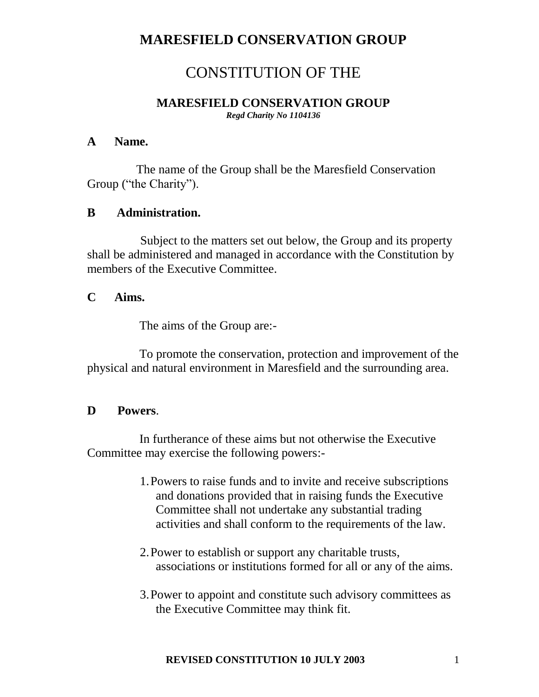# CONSTITUTION OF THE

#### **MARESFIELD CONSERVATION GROUP** *Regd Charity No 1104136*

#### **A Name.**

The name of the Group shall be the Maresfield Conservation Group ("the Charity").

### **B Administration.**

 Subject to the matters set out below, the Group and its property shall be administered and managed in accordance with the Constitution by members of the Executive Committee.

## **C Aims.**

The aims of the Group are:-

 To promote the conservation, protection and improvement of the physical and natural environment in Maresfield and the surrounding area.

### **D Powers**.

In furtherance of these aims but not otherwise the Executive Committee may exercise the following powers:-

- 1.Powers to raise funds and to invite and receive subscriptions and donations provided that in raising funds the Executive Committee shall not undertake any substantial trading activities and shall conform to the requirements of the law.
- 2.Power to establish or support any charitable trusts, associations or institutions formed for all or any of the aims.
- 3.Power to appoint and constitute such advisory committees as the Executive Committee may think fit.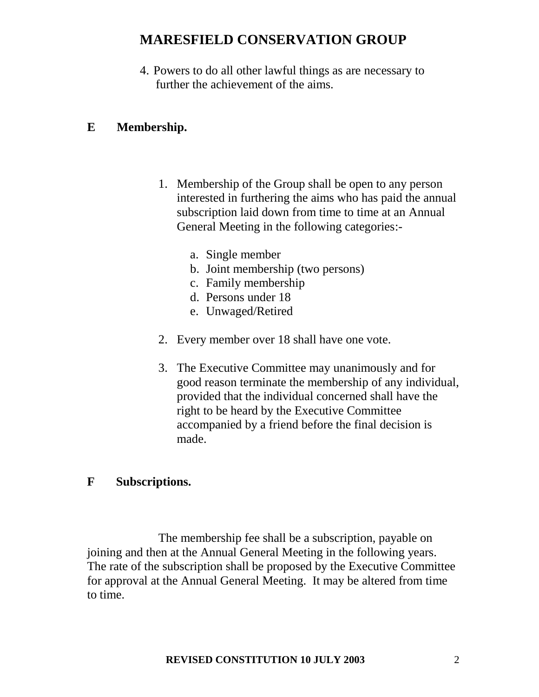4. Powers to do all other lawful things as are necessary to further the achievement of the aims.

#### **E Membership.**

- 1. Membership of the Group shall be open to any person interested in furthering the aims who has paid the annual subscription laid down from time to time at an Annual General Meeting in the following categories:
	- a. Single member
	- b. Joint membership (two persons)
	- c. Family membership
	- d. Persons under 18
	- e. Unwaged/Retired
- 2. Every member over 18 shall have one vote.
- 3. The Executive Committee may unanimously and for good reason terminate the membership of any individual, provided that the individual concerned shall have the right to be heard by the Executive Committee accompanied by a friend before the final decision is made.

#### **F Subscriptions.**

The membership fee shall be a subscription, payable on joining and then at the Annual General Meeting in the following years. The rate of the subscription shall be proposed by the Executive Committee for approval at the Annual General Meeting. It may be altered from time to time.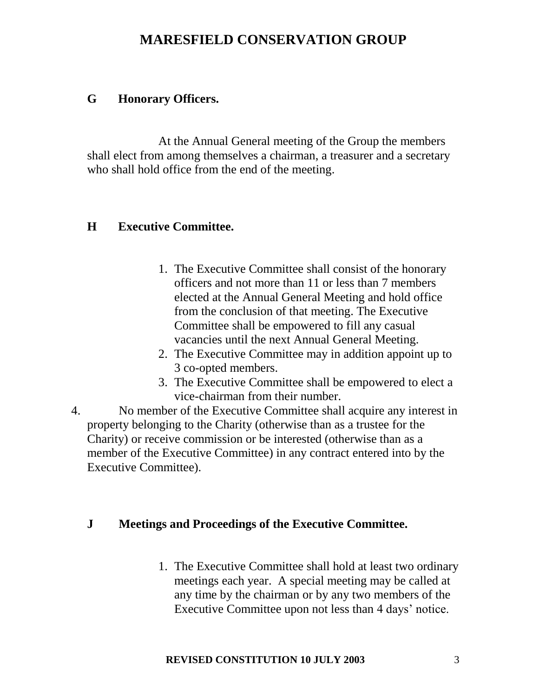## **G Honorary Officers.**

 At the Annual General meeting of the Group the members shall elect from among themselves a chairman, a treasurer and a secretary who shall hold office from the end of the meeting.

## **H Executive Committee.**

- 1. The Executive Committee shall consist of the honorary officers and not more than 11 or less than 7 members elected at the Annual General Meeting and hold office from the conclusion of that meeting. The Executive Committee shall be empowered to fill any casual vacancies until the next Annual General Meeting.
- 2. The Executive Committee may in addition appoint up to 3 co-opted members.
- 3. The Executive Committee shall be empowered to elect a vice-chairman from their number.
- 4. No member of the Executive Committee shall acquire any interest in property belonging to the Charity (otherwise than as a trustee for the Charity) or receive commission or be interested (otherwise than as a member of the Executive Committee) in any contract entered into by the Executive Committee).

## **J Meetings and Proceedings of the Executive Committee.**

1. The Executive Committee shall hold at least two ordinary meetings each year. A special meeting may be called at any time by the chairman or by any two members of the Executive Committee upon not less than 4 days' notice.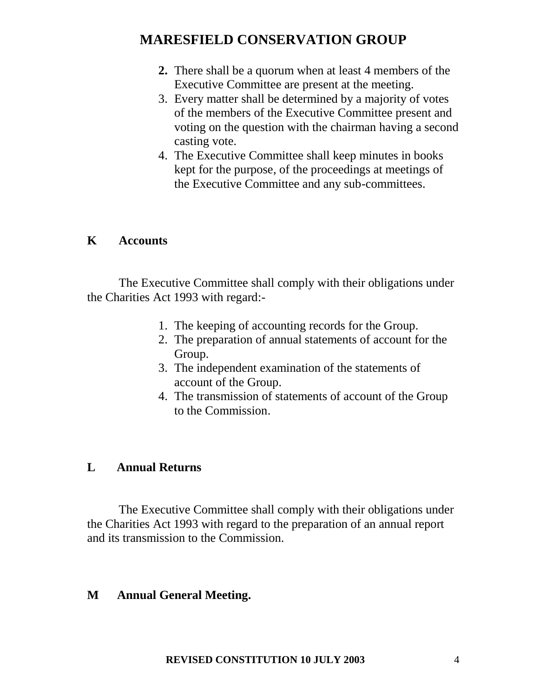- **2.** There shall be a quorum when at least 4 members of the Executive Committee are present at the meeting.
- 3. Every matter shall be determined by a majority of votes of the members of the Executive Committee present and voting on the question with the chairman having a second casting vote.
- 4. The Executive Committee shall keep minutes in books kept for the purpose, of the proceedings at meetings of the Executive Committee and any sub-committees.

### **K Accounts**

The Executive Committee shall comply with their obligations under the Charities Act 1993 with regard:-

- 1. The keeping of accounting records for the Group.
- 2. The preparation of annual statements of account for the Group.
- 3. The independent examination of the statements of account of the Group.
- 4. The transmission of statements of account of the Group to the Commission.

### **L Annual Returns**

The Executive Committee shall comply with their obligations under the Charities Act 1993 with regard to the preparation of an annual report and its transmission to the Commission.

### **M Annual General Meeting.**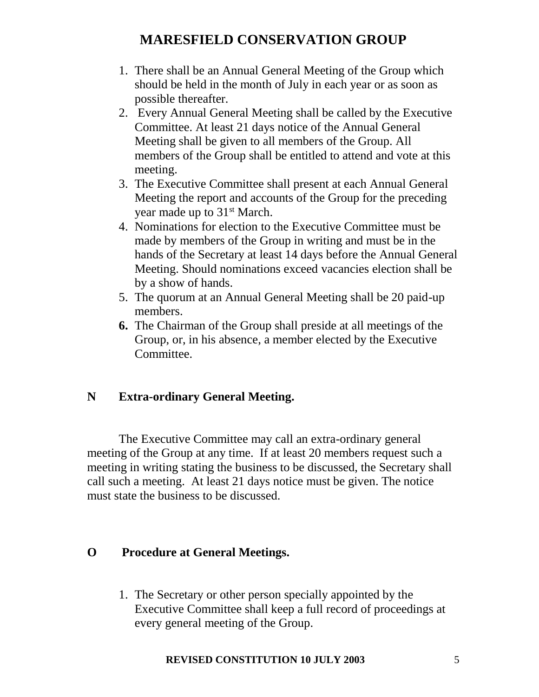- 1. There shall be an Annual General Meeting of the Group which should be held in the month of July in each year or as soon as possible thereafter.
- 2. Every Annual General Meeting shall be called by the Executive Committee. At least 21 days notice of the Annual General Meeting shall be given to all members of the Group. All members of the Group shall be entitled to attend and vote at this meeting.
- 3. The Executive Committee shall present at each Annual General Meeting the report and accounts of the Group for the preceding year made up to 31<sup>st</sup> March.
- 4. Nominations for election to the Executive Committee must be made by members of the Group in writing and must be in the hands of the Secretary at least 14 days before the Annual General Meeting. Should nominations exceed vacancies election shall be by a show of hands.
- 5. The quorum at an Annual General Meeting shall be 20 paid-up members.
- **6.** The Chairman of the Group shall preside at all meetings of the Group, or, in his absence, a member elected by the Executive Committee.

## **N Extra-ordinary General Meeting.**

The Executive Committee may call an extra-ordinary general meeting of the Group at any time. If at least 20 members request such a meeting in writing stating the business to be discussed, the Secretary shall call such a meeting. At least 21 days notice must be given. The notice must state the business to be discussed.

### **O Procedure at General Meetings.**

1. The Secretary or other person specially appointed by the Executive Committee shall keep a full record of proceedings at every general meeting of the Group.